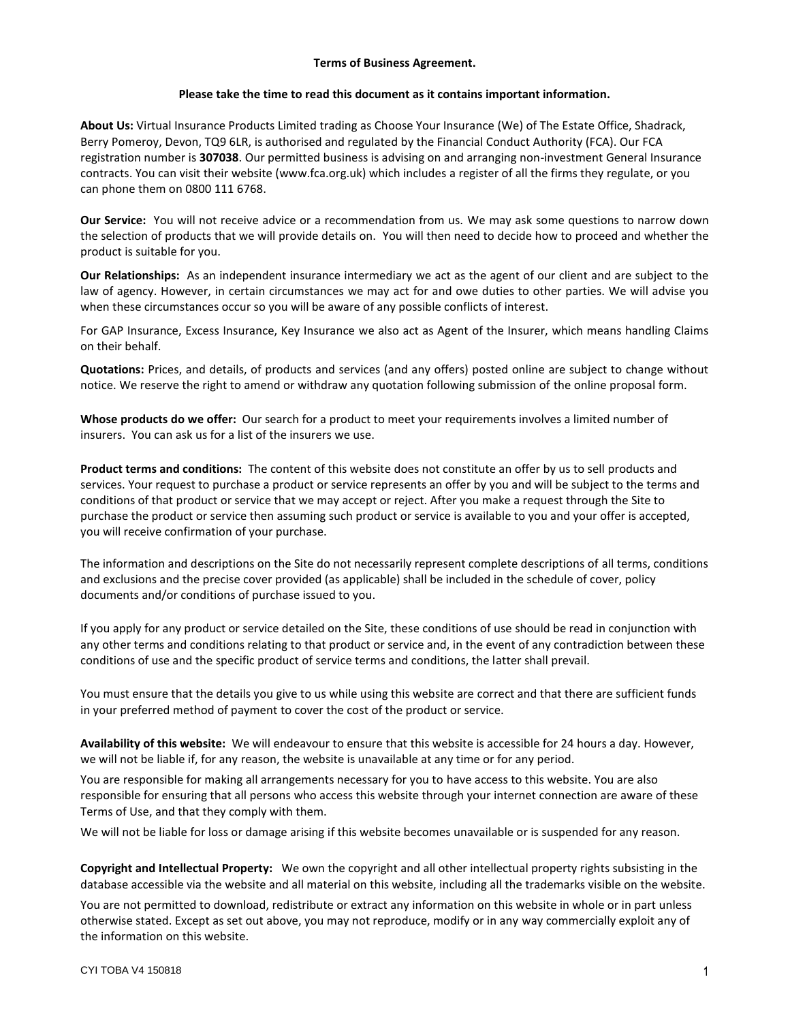### **Terms of Business Agreement.**

#### **Please take the time to read this document as it contains important information.**

**About Us:** Virtual Insurance Products Limited trading as Choose Your Insurance (We) of The Estate Office, Shadrack, Berry Pomeroy, Devon, TQ9 6LR, is authorised and regulated by the Financial Conduct Authority (FCA). Our FCA registration number is **307038**. Our permitted business is advising on and arranging non-investment General Insurance contracts. You can visit their website (www.fca.org.uk) which includes a register of all the firms they regulate, or you can phone them on 0800 111 6768.

**Our Service:** You will not receive advice or a recommendation from us. We may ask some questions to narrow down the selection of products that we will provide details on. You will then need to decide how to proceed and whether the product is suitable for you.

**Our Relationships:** As an independent insurance intermediary we act as the agent of our client and are subject to the law of agency. However, in certain circumstances we may act for and owe duties to other parties. We will advise you when these circumstances occur so you will be aware of any possible conflicts of interest.

For GAP Insurance, Excess Insurance, Key Insurance we also act as Agent of the Insurer, which means handling Claims on their behalf.

**Quotations:** Prices, and details, of products and services (and any offers) posted online are subject to change without notice. We reserve the right to amend or withdraw any quotation following submission of the online proposal form.

**Whose products do we offer:** Our search for a product to meet your requirements involves a limited number of insurers. You can ask us for a list of the insurers we use.

**Product terms and conditions:** The content of this website does not constitute an offer by us to sell products and services. Your request to purchase a product or service represents an offer by you and will be subject to the terms and conditions of that product or service that we may accept or reject. After you make a request through the Site to purchase the product or service then assuming such product or service is available to you and your offer is accepted, you will receive confirmation of your purchase.

The information and descriptions on the Site do not necessarily represent complete descriptions of all terms, conditions and exclusions and the precise cover provided (as applicable) shall be included in the schedule of cover, policy documents and/or conditions of purchase issued to you.

If you apply for any product or service detailed on the Site, these conditions of use should be read in conjunction with any other terms and conditions relating to that product or service and, in the event of any contradiction between these conditions of use and the specific product of service terms and conditions, the latter shall prevail.

You must ensure that the details you give to us while using this website are correct and that there are sufficient funds in your preferred method of payment to cover the cost of the product or service.

**Availability of this website:** We will endeavour to ensure that this website is accessible for 24 hours a day. However, we will not be liable if, for any reason, the website is unavailable at any time or for any period.

You are responsible for making all arrangements necessary for you to have access to this website. You are also responsible for ensuring that all persons who access this website through your internet connection are aware of these Terms of Use, and that they comply with them.

We will not be liable for loss or damage arising if this website becomes unavailable or is suspended for any reason.

**Copyright and Intellectual Property:** We own the copyright and all other intellectual property rights subsisting in the database accessible via the website and all material on this website, including all the trademarks visible on the website.

You are not permitted to download, redistribute or extract any information on this website in whole or in part unless otherwise stated. Except as set out above, you may not reproduce, modify or in any way commercially exploit any of the information on this website.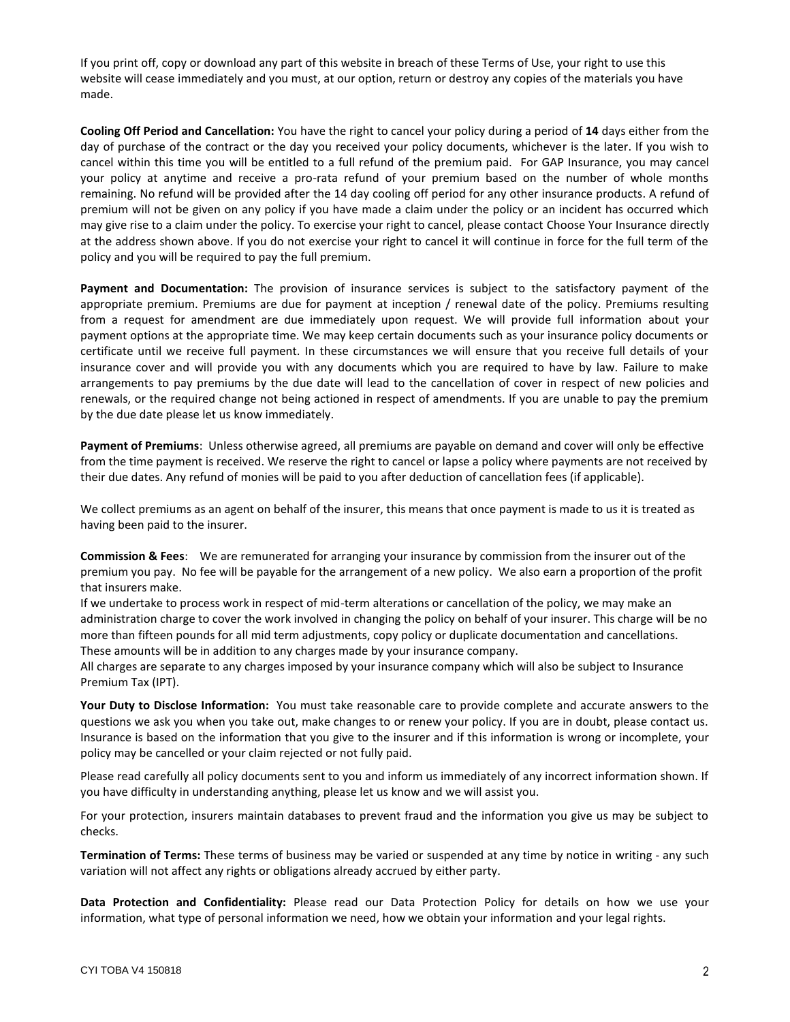If you print off, copy or download any part of this website in breach of these Terms of Use, your right to use this website will cease immediately and you must, at our option, return or destroy any copies of the materials you have made.

**Cooling Off Period and Cancellation:** You have the right to cancel your policy during a period of **14** days either from the day of purchase of the contract or the day you received your policy documents, whichever is the later. If you wish to cancel within this time you will be entitled to a full refund of the premium paid. For GAP Insurance, you may cancel your policy at anytime and receive a pro-rata refund of your premium based on the number of whole months remaining. No refund will be provided after the 14 day cooling off period for any other insurance products. A refund of premium will not be given on any policy if you have made a claim under the policy or an incident has occurred which may give rise to a claim under the policy. To exercise your right to cancel, please contact Choose Your Insurance directly at the address shown above. If you do not exercise your right to cancel it will continue in force for the full term of the policy and you will be required to pay the full premium.

**Payment and Documentation:** The provision of insurance services is subject to the satisfactory payment of the appropriate premium. Premiums are due for payment at inception / renewal date of the policy. Premiums resulting from a request for amendment are due immediately upon request. We will provide full information about your payment options at the appropriate time. We may keep certain documents such as your insurance policy documents or certificate until we receive full payment. In these circumstances we will ensure that you receive full details of your insurance cover and will provide you with any documents which you are required to have by law. Failure to make arrangements to pay premiums by the due date will lead to the cancellation of cover in respect of new policies and renewals, or the required change not being actioned in respect of amendments. If you are unable to pay the premium by the due date please let us know immediately.

**Payment of Premiums**: Unless otherwise agreed, all premiums are payable on demand and cover will only be effective from the time payment is received. We reserve the right to cancel or lapse a policy where payments are not received by their due dates. Any refund of monies will be paid to you after deduction of cancellation fees (if applicable).

We collect premiums as an agent on behalf of the insurer, this means that once payment is made to us it is treated as having been paid to the insurer.

**Commission & Fees**: We are remunerated for arranging your insurance by commission from the insurer out of the premium you pay. No fee will be payable for the arrangement of a new policy. We also earn a proportion of the profit that insurers make.

If we undertake to process work in respect of mid-term alterations or cancellation of the policy, we may make an administration charge to cover the work involved in changing the policy on behalf of your insurer. This charge will be no more than fifteen pounds for all mid term adjustments, copy policy or duplicate documentation and cancellations. These amounts will be in addition to any charges made by your insurance company.

All charges are separate to any charges imposed by your insurance company which will also be subject to Insurance Premium Tax (IPT).

**Your Duty to Disclose Information:** You must take reasonable care to provide complete and accurate answers to the questions we ask you when you take out, make changes to or renew your policy. If you are in doubt, please contact us. Insurance is based on the information that you give to the insurer and if this information is wrong or incomplete, your policy may be cancelled or your claim rejected or not fully paid.

Please read carefully all policy documents sent to you and inform us immediately of any incorrect information shown. If you have difficulty in understanding anything, please let us know and we will assist you.

For your protection, insurers maintain databases to prevent fraud and the information you give us may be subject to checks.

**Termination of Terms:** These terms of business may be varied or suspended at any time by notice in writing - any such variation will not affect any rights or obligations already accrued by either party.

**Data Protection and Confidentiality:** Please read our Data Protection Policy for details on how we use your information, what type of personal information we need, how we obtain your information and your legal rights.